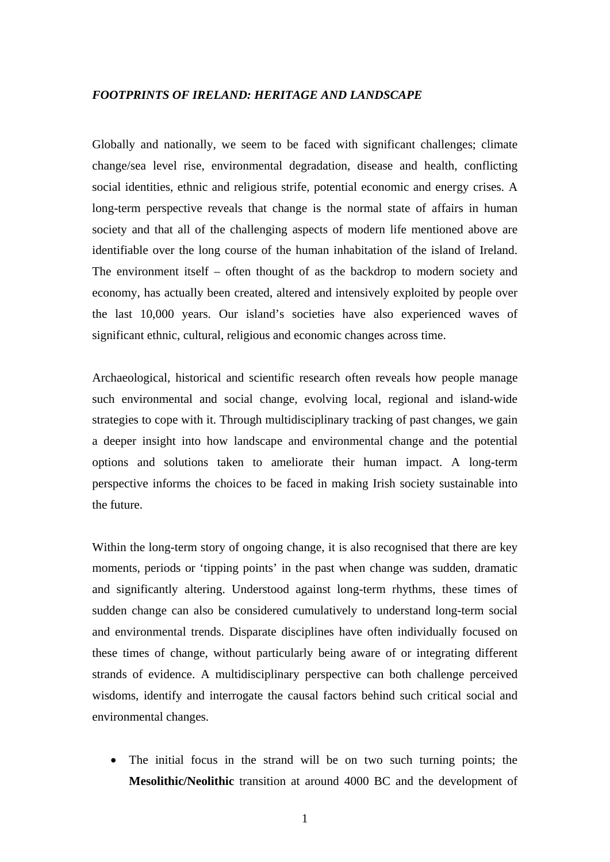### *FOOTPRINTS OF IRELAND: HERITAGE AND LANDSCAPE*

Globally and nationally, we seem to be faced with significant challenges; climate change/sea level rise, environmental degradation, disease and health, conflicting social identities, ethnic and religious strife, potential economic and energy crises. A long-term perspective reveals that change is the normal state of affairs in human society and that all of the challenging aspects of modern life mentioned above are identifiable over the long course of the human inhabitation of the island of Ireland. The environment itself – often thought of as the backdrop to modern society and economy, has actually been created, altered and intensively exploited by people over the last 10,000 years. Our island's societies have also experienced waves of significant ethnic, cultural, religious and economic changes across time.

Archaeological, historical and scientific research often reveals how people manage such environmental and social change, evolving local, regional and island-wide strategies to cope with it. Through multidisciplinary tracking of past changes, we gain a deeper insight into how landscape and environmental change and the potential options and solutions taken to ameliorate their human impact. A long-term perspective informs the choices to be faced in making Irish society sustainable into the future.

Within the long-term story of ongoing change, it is also recognised that there are key moments, periods or 'tipping points' in the past when change was sudden, dramatic and significantly altering. Understood against long-term rhythms, these times of sudden change can also be considered cumulatively to understand long-term social and environmental trends. Disparate disciplines have often individually focused on these times of change, without particularly being aware of or integrating different strands of evidence. A multidisciplinary perspective can both challenge perceived wisdoms, identify and interrogate the causal factors behind such critical social and environmental changes.

• The initial focus in the strand will be on two such turning points; the **Mesolithic/Neolithic** transition at around 4000 BC and the development of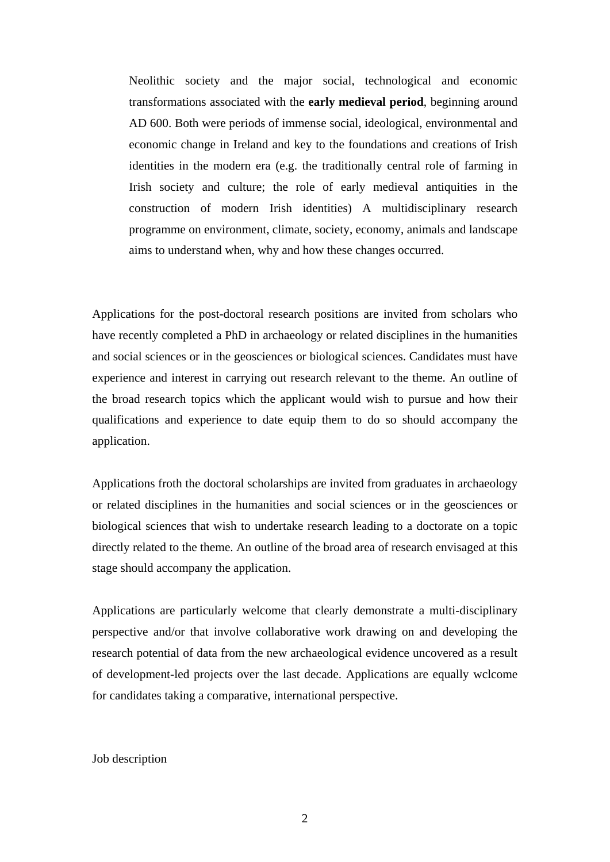Neolithic society and the major social, technological and economic transformations associated with the **early medieval period**, beginning around AD 600. Both were periods of immense social, ideological, environmental and economic change in Ireland and key to the foundations and creations of Irish identities in the modern era (e.g. the traditionally central role of farming in Irish society and culture; the role of early medieval antiquities in the construction of modern Irish identities) A multidisciplinary research programme on environment, climate, society, economy, animals and landscape aims to understand when, why and how these changes occurred.

Applications for the post-doctoral research positions are invited from scholars who have recently completed a PhD in archaeology or related disciplines in the humanities and social sciences or in the geosciences or biological sciences. Candidates must have experience and interest in carrying out research relevant to the theme. An outline of the broad research topics which the applicant would wish to pursue and how their qualifications and experience to date equip them to do so should accompany the application.

Applications froth the doctoral scholarships are invited from graduates in archaeology or related disciplines in the humanities and social sciences or in the geosciences or biological sciences that wish to undertake research leading to a doctorate on a topic directly related to the theme. An outline of the broad area of research envisaged at this stage should accompany the application.

Applications are particularly welcome that clearly demonstrate a multi-disciplinary perspective and/or that involve collaborative work drawing on and developing the research potential of data from the new archaeological evidence uncovered as a result of development-led projects over the last decade. Applications are equally wclcome for candidates taking a comparative, international perspective.

### Job description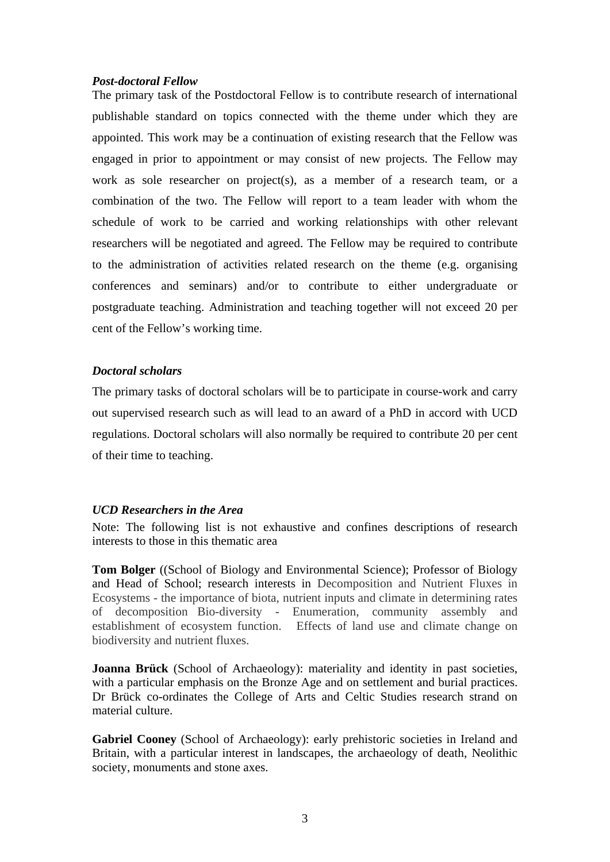## *Post-doctoral Fellow*

The primary task of the Postdoctoral Fellow is to contribute research of international publishable standard on topics connected with the theme under which they are appointed. This work may be a continuation of existing research that the Fellow was engaged in prior to appointment or may consist of new projects. The Fellow may work as sole researcher on project(s), as a member of a research team, or a combination of the two. The Fellow will report to a team leader with whom the schedule of work to be carried and working relationships with other relevant researchers will be negotiated and agreed. The Fellow may be required to contribute to the administration of activities related research on the theme (e.g. organising conferences and seminars) and/or to contribute to either undergraduate or postgraduate teaching. Administration and teaching together will not exceed 20 per cent of the Fellow's working time.

# *Doctoral scholars*

The primary tasks of doctoral scholars will be to participate in course-work and carry out supervised research such as will lead to an award of a PhD in accord with UCD regulations. Doctoral scholars will also normally be required to contribute 20 per cent of their time to teaching.

### *UCD Researchers in the Area*

Note: The following list is not exhaustive and confines descriptions of research interests to those in this thematic area

**Tom Bolger** ((School of Biology and Environmental Science); Professor of Biology and Head of School; research interests in Decomposition and Nutrient Fluxes in Ecosystems - the importance of biota, nutrient inputs and climate in determining rates of decomposition Bio-diversity - Enumeration, community assembly and establishment of ecosystem function. Effects of land use and climate change on biodiversity and nutrient fluxes.

**Joanna Brück** (School of Archaeology): materiality and identity in past societies, with a particular emphasis on the Bronze Age and on settlement and burial practices. Dr Brück co-ordinates the College of Arts and Celtic Studies research strand on material culture.

**Gabriel Cooney** (School of Archaeology): early prehistoric societies in Ireland and Britain, with a particular interest in landscapes, the archaeology of death, Neolithic society, monuments and stone axes.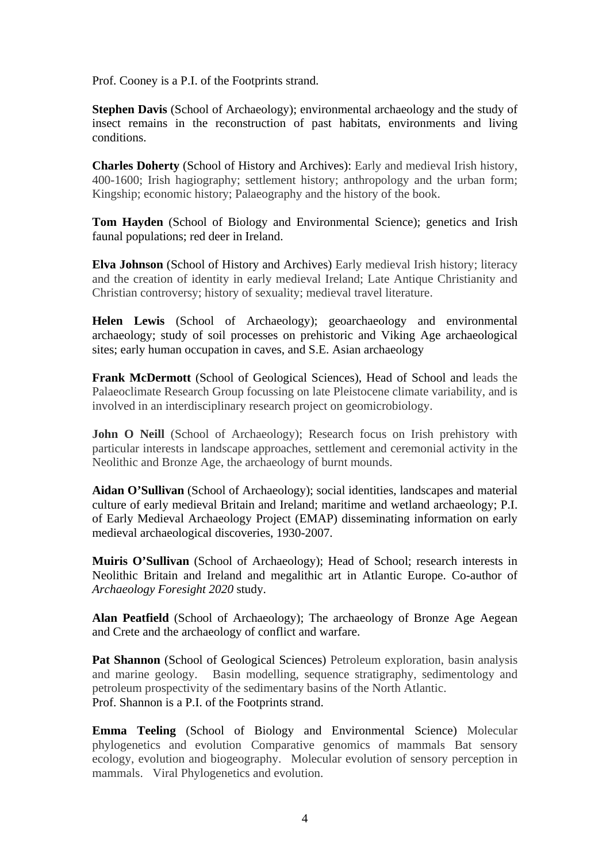Prof. Cooney is a P.I. of the Footprints strand.

**Stephen Davis** (School of Archaeology); environmental archaeology and the study of insect remains in the reconstruction of past habitats, environments and living conditions.

**Charles Doherty** (School of History and Archives): Early and medieval Irish history, 400-1600; Irish hagiography; settlement history; anthropology and the urban form; Kingship; economic history; Palaeography and the history of the book.

**Tom Hayden** (School of Biology and Environmental Science); genetics and Irish faunal populations; red deer in Ireland.

**Elva Johnson** (School of History and Archives) Early medieval Irish history; literacy and the creation of identity in early medieval Ireland; Late Antique Christianity and Christian controversy; history of sexuality; medieval travel literature.

**Helen Lewis** (School of Archaeology); geoarchaeology and environmental archaeology; study of soil processes on prehistoric and Viking Age archaeological sites; early human occupation in caves, and S.E. Asian archaeology

**Frank McDermott** (School of Geological Sciences), Head of School and leads the Palaeoclimate Research Group focussing on late Pleistocene climate variability, and is involved in an interdisciplinary research project on geomicrobiology.

John O Neill (School of Archaeology); Research focus on Irish prehistory with particular interests in landscape approaches, settlement and ceremonial activity in the Neolithic and Bronze Age, the archaeology of burnt mounds.

**Aidan O'Sullivan** (School of Archaeology); social identities, landscapes and material culture of early medieval Britain and Ireland; maritime and wetland archaeology; P.I. of Early Medieval Archaeology Project (EMAP) disseminating information on early medieval archaeological discoveries, 1930-2007.

**Muiris O'Sullivan** (School of Archaeology); Head of School; research interests in Neolithic Britain and Ireland and megalithic art in Atlantic Europe. Co-author of *Archaeology Foresight 2020* study.

**Alan Peatfield** (School of Archaeology); The archaeology of Bronze Age Aegean and Crete and the archaeology of conflict and warfare.

Pat Shannon (School of Geological Sciences) Petroleum exploration, basin analysis and marine geology. Basin modelling, sequence stratigraphy, sedimentology and petroleum prospectivity of the sedimentary basins of the North Atlantic. Prof. Shannon is a P.I. of the Footprints strand.

**Emma Teeling** (School of Biology and Environmental Science) Molecular phylogenetics and evolution Comparative genomics of mammals Bat sensory ecology, evolution and biogeography. Molecular evolution of sensory perception in mammals. Viral Phylogenetics and evolution.